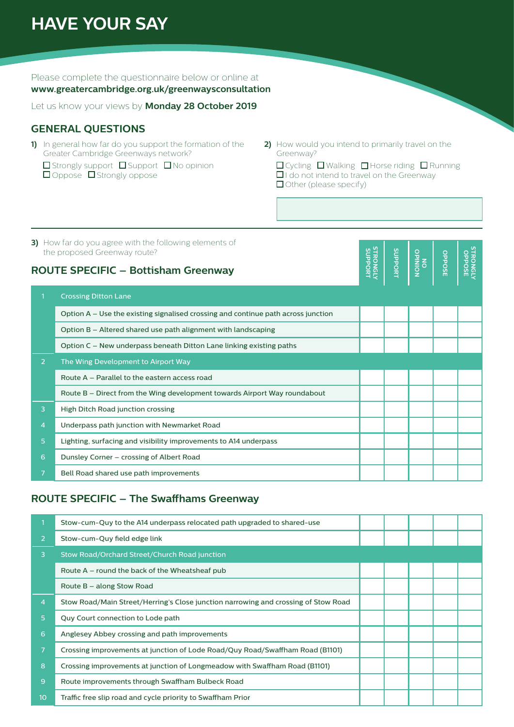# **HAVE YOUR SAY**

Please complete the questionnaire below or online at

#### **www.greatercambridge.org.uk/greenwaysconsultation**

Let us know your views by **Monday 28 October 2019**

#### **GENERAL QUESTIONS**

- **1)** In general how far do you support the formation of the Greater Cambridge Greenways network?
	- $\square$  Strongly support  $\square$  Support  $\square$  No opinion  $\Box$  Oppose  $\Box$  Strongly oppose
- **2)** How would you intend to primarily travel on the Greenway?

**O** Cycling D Walking D Horse riding D Running  $\square$  I do not intend to travel on the Greenway  $\Box$  Other (please specify)

**RONGLE** 

**3)** How far do you agree with the following elements of the proposed Greenway route?

#### **ROUTE SPECIFIC – Bottisham Greenway**

| the proposed Greenway route?<br><b>ROUTE SPECIFIC - Bottisham Greenway</b> |                                                                                     |  |  | NOINIdO | <b>OPPOSE</b> | <b>STRONGLY</b><br>STRONGLY |
|----------------------------------------------------------------------------|-------------------------------------------------------------------------------------|--|--|---------|---------------|-----------------------------|
|                                                                            | <b>Crossing Ditton Lane</b>                                                         |  |  |         |               |                             |
|                                                                            | Option $A -$ Use the existing signalised crossing and continue path across junction |  |  |         |               |                             |
|                                                                            | Option B – Altered shared use path alignment with landscaping                       |  |  |         |               |                             |
|                                                                            | Option C – New underpass beneath Ditton Lane linking existing paths                 |  |  |         |               |                             |
| $\overline{2}$                                                             | The Wing Development to Airport Way                                                 |  |  |         |               |                             |
|                                                                            | Route A - Parallel to the eastern access road                                       |  |  |         |               |                             |
|                                                                            | Route B – Direct from the Wing development towards Airport Way roundabout           |  |  |         |               |                             |
| 3                                                                          | High Ditch Road junction crossing                                                   |  |  |         |               |                             |
| $\overline{4}$                                                             | Underpass path junction with Newmarket Road                                         |  |  |         |               |                             |
| 5 <sup>5</sup>                                                             | Lighting, surfacing and visibility improvements to A14 underpass                    |  |  |         |               |                             |
| 6                                                                          | Dunsley Corner - crossing of Albert Road                                            |  |  |         |               |                             |
|                                                                            | Bell Road shared use path improvements                                              |  |  |         |               |                             |

#### **ROUTE SPECIFIC – The Swaffhams Greenway**

|                  | Stow-cum-Quy to the A14 underpass relocated path upgraded to shared-use            |  |  |  |  |
|------------------|------------------------------------------------------------------------------------|--|--|--|--|
|                  |                                                                                    |  |  |  |  |
| 2                | Stow-cum-Quy field edge link                                                       |  |  |  |  |
| 3                | Stow Road/Orchard Street/Church Road junction                                      |  |  |  |  |
|                  | Route $A$ – round the back of the Wheatsheaf pub                                   |  |  |  |  |
|                  | Route B – along Stow Road                                                          |  |  |  |  |
| $\overline{4}$   | Stow Road/Main Street/Herring's Close junction narrowing and crossing of Stow Road |  |  |  |  |
| 5                | Quy Court connection to Lode path                                                  |  |  |  |  |
| 6                | Anglesey Abbey crossing and path improvements                                      |  |  |  |  |
| 7                | Crossing improvements at junction of Lode Road/Quy Road/Swaffham Road (B1101)      |  |  |  |  |
| 8                | Crossing improvements at junction of Longmeadow with Swaffham Road (B1101)         |  |  |  |  |
| 9                | Route improvements through Swaffham Bulbeck Road                                   |  |  |  |  |
| 10 <sup>10</sup> | Traffic free slip road and cycle priority to Swaffham Prior                        |  |  |  |  |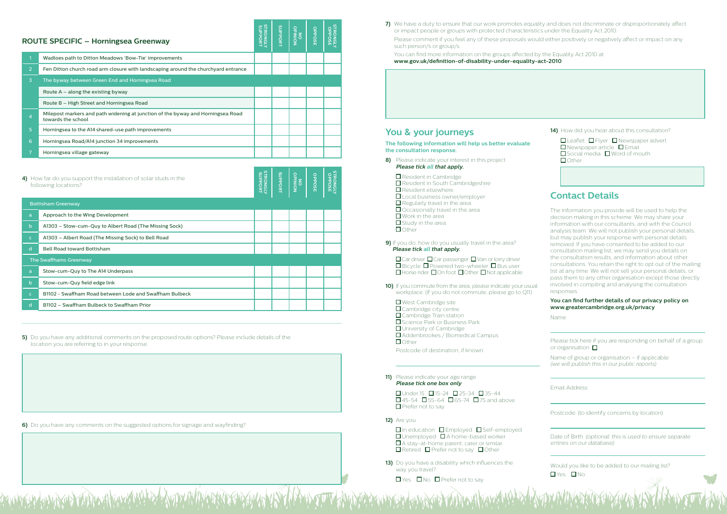| 4) How far do you support the installation of solar studs in the<br>following locations? |              |                                                         |  | <b>SUPPORT</b> | NOINIdO | <b>OPPOSE</b> | STRONGLY<br>STRONGLY |
|------------------------------------------------------------------------------------------|--------------|---------------------------------------------------------|--|----------------|---------|---------------|----------------------|
|                                                                                          |              | <b>Bottisham Greenway</b>                               |  |                |         |               |                      |
|                                                                                          | a            | Approach to the Wing Development                        |  |                |         |               |                      |
|                                                                                          | $\mathbf b$  | A1303 - Stow-cum-Quy to Albert Road (The Missing Sock)  |  |                |         |               |                      |
|                                                                                          | $\mathsf{C}$ | A1303 - Albert Road (The Missing Sock) to Bell Road     |  |                |         |               |                      |
|                                                                                          | d            | <b>Bell Road toward Bottisham</b>                       |  |                |         |               |                      |
|                                                                                          |              | The Swaffhams Greenway                                  |  |                |         |               |                      |
|                                                                                          | a            | Stow-cum-Quy to The A14 Underpass                       |  |                |         |               |                      |
|                                                                                          | $\mathsf{b}$ | Stow-cum-Quy field edge link                            |  |                |         |               |                      |
|                                                                                          | $\mathsf{C}$ | B1102 - Swaffham Road between Lode and Swaffham Bulbeck |  |                |         |               |                      |
|                                                                                          | d            | B1102 - Swaffham Bulbeck to Swaffham Prior              |  |                |         |               |                      |
|                                                                                          |              |                                                         |  |                |         |               |                      |

**5)** Do you have any additional comments on the proposed route options? Please include details of the location you are referring to in your response.

**7)** We have a duty to ensure that our work promotes equality and does not discriminate or disproportionately affect or impact people or groups with protected characteristics under the Equality Act 2010. Please comment if you feel any of these proposals would either positively or negatively affect or impact on any such person/s or group/s.

 You can find more information on the groups affected by the Equality Act 2010 at **www.gov.uk/definition-of-disability-under-equality-act-2010**

| <b>ROUTE SPECIFIC – Horningsea Greenway</b> |                                                                                                       |  |  | NOINIdO | <b>OPPOSE</b> | <b>STRONGLY</b><br>STRONGLY |
|---------------------------------------------|-------------------------------------------------------------------------------------------------------|--|--|---------|---------------|-----------------------------|
|                                             | Wadloes path to Ditton Meadows 'Bow-Tie' improvements                                                 |  |  |         |               |                             |
| $\overline{2}$                              | Fen Ditton church road arm closure with landscaping around the churchyard entrance                    |  |  |         |               |                             |
| 3                                           | The byway between Green End and Horningsea Road                                                       |  |  |         |               |                             |
|                                             | Route $A - along the existing byway$                                                                  |  |  |         |               |                             |
|                                             | Route B – High Street and Horningsea Road                                                             |  |  |         |               |                             |
| 4                                           | Milepost markers and path widening at junction of the byway and Horningsea Road<br>towards the school |  |  |         |               |                             |
| $\overline{5}$                              | Horningsea to the A14 shared-use path improvements                                                    |  |  |         |               |                             |
| 6                                           | Horningsea Road/A14 junction 34 improvements                                                          |  |  |         |               |                             |
|                                             | Horningsea village gateway                                                                            |  |  |         |               |                             |

**13)** Do you have a disability which influences the way you travel?

 $\Box$  Yes  $\Box$  No  $\Box$  Prefer not to say

| <b>ROUTE SPECIFIC – Horningsea Greenway</b> |  |  |
|---------------------------------------------|--|--|
|---------------------------------------------|--|--|

**6)** Do you have any comments on the suggested options for signage and wayfinding?.

### **You & your journeys**

**The following information will help us better evaluate the consultation response.**

**8)** Please indicate your interest in this project **Please tick all that apply.**

Resident in Cambridge

■ Resident in South Cambridgeshire

Resident elsewhere

**Local business owner/employer** 

 $\square$  Regularly travel in the area

 $\Box$  Occasionally travel in the area

 $\square$  Work in the area  $\Box$  Study in the area

**O** Other

Please tick here if you are responding on behalf of a group or organisation  $\Box$ 

Would you like to be added to our mailing list? **O**Yes ONo

**9)** If you do, how do you usually travel in the area? **Please tick all that apply.**

 $\Box$  Car driver  $\Box$  Car passenger  $\Box$  Van or lorry driver  $\square$  Bicycle  $\square$  Powered two-wheeler  $\square$  Bus user  $\Box$  Horse rider  $\Box$  On foot  $\Box$  Other  $\Box$  Not applicable

- **10)** If you commute from the area, please indicate your usual workplace. (If you do not commute, please go to Q11)
	- $\Box$  West Cambridge site □ Cambridge city centre **O** Cambridge Train station □ Science Park or Business Park **O** University of Cambridge Addenbrookes / Biomedical Campus  $\Box$  Other

Postcode of destination, if known:

**11)** Please indicate your age range **Please tick one box only**

> $\Box$  Under 15  $\Box$  15-24  $\Box$  25-34  $\Box$  35-44  $\Box$  45-54  $\Box$  55-64  $\Box$  65-74  $\Box$  75 and above  $\Box$  Prefer not to say

**12)** Are you:

 $\square$  In education  $\square$  Employed  $\square$  Self-employed  $\Box$  Unemployed  $\Box$  A home-based worker A stay-at-home parent, carer or similar  $\Box$  Retired  $\Box$  Prefer not to say  $\Box$  Other

**14)** How did you hear about this consultation?

| $\Box$ Leaflet $\Box$ Flyer $\Box$ Newspaper advert |  |  |  |
|-----------------------------------------------------|--|--|--|
| $\Box$ Newspaper article $\Box$ Email               |  |  |  |
| $\Box$ Social media $\Box$ Word of mouth            |  |  |  |
| $\Box$ Other                                        |  |  |  |

## **Contact Details**

The information you provide will be used to help the decision making in this scheme. We may share your information with our consultants, and with the Council analysis team. We will not publish your personal details, but may publish your response with personal details removed. If you have consented to be added to our consultation mailing list, we may send you details on the consultation results, and information about other consultations. You retain the right to opt out of the mailing list at any time. We will not sell your personal details, or pass them to any other organisation except those directly involved in compiling and analysing the consultation responses.

**You can find further details of our privacy policy on www.greatercambridge.org.uk/privacy**

Name:

Name of group or organisation – if applicable: (we will publish this in our public reports)

Email Address:

Postcode: (to identify concerns by location)

Date of Birth: (optional: this is used to ensure separate entries on our database)